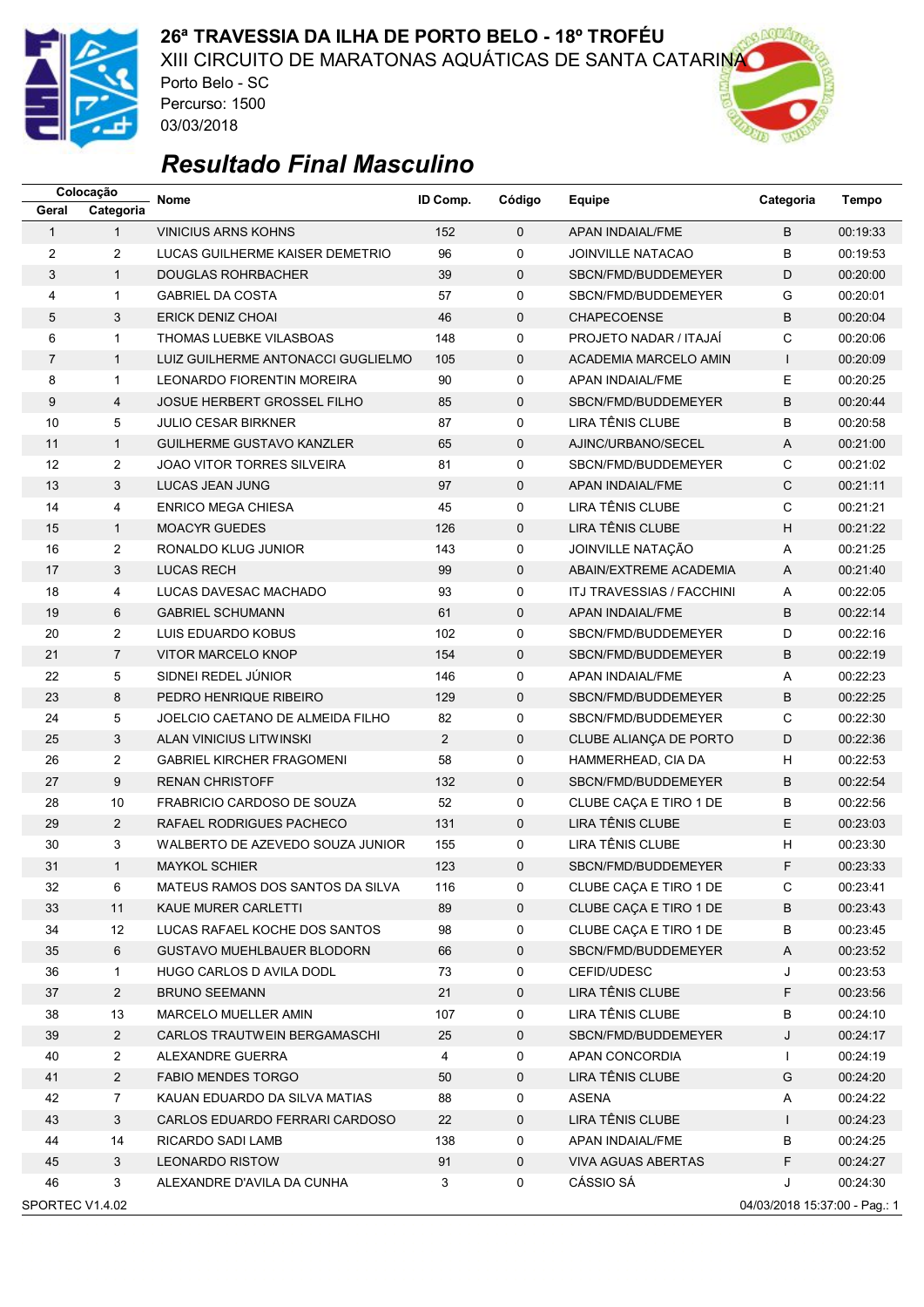

XIII CIRCUITO DE MARATONAS AQUÁTICAS DE SANTA CATARINA

Porto Belo - SC Percurso: 1500 03/03/2018



|                 | Colocação               | <b>Nome</b>                        | ID Comp.       | Código      | Equipe                        | Categoria                     | <b>Tempo</b> |
|-----------------|-------------------------|------------------------------------|----------------|-------------|-------------------------------|-------------------------------|--------------|
| Geral           | Categoria               |                                    |                |             |                               |                               |              |
| $\mathbf{1}$    | $\mathbf{1}$            | <b>VINICIUS ARNS KOHNS</b>         | 152            | $\Omega$    | APAN INDAIAL/FME              | B                             | 00:19:33     |
| 2               | $\overline{2}$          | LUCAS GUILHERME KAISER DEMETRIO    | 96             | 0           | <b>JOINVILLE NATACAO</b>      | В                             | 00:19:53     |
| 3               | $\mathbf{1}$            | <b>DOUGLAS ROHRBACHER</b>          | 39             | $\mathbf 0$ | SBCN/FMD/BUDDEMEYER           | D                             | 00:20:00     |
| 4               | $\mathbf{1}$            | <b>GABRIEL DA COSTA</b>            | 57             | 0           | SBCN/FMD/BUDDEMEYER           | G                             | 00:20:01     |
| 5               | 3                       | <b>ERICK DENIZ CHOAI</b>           | 46             | $\mathbf 0$ | <b>CHAPECOENSE</b>            | B                             | 00:20:04     |
| 6               | $\mathbf{1}$            | THOMAS LUEBKE VILASBOAS            | 148            | 0           | PROJETO NADAR / ITAJAİ        | C                             | 00:20:06     |
| $\overline{7}$  | $\mathbf{1}$            | LUIZ GUILHERME ANTONACCI GUGLIELMO | 105            | $\mathbf 0$ | ACADEMIA MARCELO AMIN         | $\mathsf{I}$                  | 00:20:09     |
| 8               | $\mathbf{1}$            | LEONARDO FIORENTIN MOREIRA         | 90             | 0           | <b>APAN INDAIAL/FME</b>       | E                             | 00:20:25     |
| 9               | $\overline{4}$          | <b>JOSUE HERBERT GROSSEL FILHO</b> | 85             | 0           | SBCN/FMD/BUDDEMEYER           | B                             | 00:20:44     |
| 10              | 5                       | <b>JULIO CESAR BIRKNER</b>         | 87             | 0           | LIRA TÊNIS CLUBE              | B                             | 00:20:58     |
| 11              | $\mathbf{1}$            | <b>GUILHERME GUSTAVO KANZLER</b>   | 65             | $\mathbf 0$ | AJINC/URBANO/SECEL            | A                             | 00:21:00     |
| 12              | $\overline{\mathbf{c}}$ | <b>JOAO VITOR TORRES SILVEIRA</b>  | 81             | 0           | SBCN/FMD/BUDDEMEYER           | C                             | 00:21:02     |
| 13              | 3                       | LUCAS JEAN JUNG                    | 97             | $\mathbf 0$ | APAN INDAIAL/FME              | $\mathsf{C}$                  | 00:21:11     |
| 14              | 4                       | <b>ENRICO MEGA CHIESA</b>          | 45             | 0           | LIRA TÊNIS CLUBE              | C                             | 00:21:21     |
| 15              | $\mathbf{1}$            | <b>MOACYR GUEDES</b>               | 126            | $\mathbf 0$ | LIRA TÊNIS CLUBE              | Н                             | 00:21:22     |
| 16              | $\overline{2}$          | RONALDO KLUG JUNIOR                | 143            | $\mathbf 0$ | JOINVILLE NATAÇÃO             | Α                             | 00:21:25     |
| 17              | 3                       | <b>LUCAS RECH</b>                  | 99             | $\mathbf 0$ | <b>ABAIN/EXTREME ACADEMIA</b> | A                             | 00:21:40     |
| 18              | 4                       | LUCAS DAVESAC MACHADO              | 93             | 0           | ITJ TRAVESSIAS / FACCHINI     | Α                             | 00:22:05     |
| 19              | 6                       | <b>GABRIEL SCHUMANN</b>            | 61             | $\mathbf 0$ | APAN INDAIAL/FME              | B                             | 00:22:14     |
| 20              | $\overline{2}$          | LUIS EDUARDO KOBUS                 | 102            | 0           | SBCN/FMD/BUDDEMEYER           | D                             | 00:22:16     |
| 21              | $\overline{7}$          | VITOR MARCELO KNOP                 | 154            | $\mathbf 0$ | SBCN/FMD/BUDDEMEYER           | B                             | 00:22:19     |
| 22              | 5                       | SIDNEI REDEL JÚNIOR                | 146            | 0           | APAN INDAIAL/FME              | Α                             | 00:22:23     |
| 23              | 8                       | PEDRO HENRIQUE RIBEIRO             | 129            | $\mathbf 0$ | SBCN/FMD/BUDDEMEYER           | B                             | 00:22:25     |
| 24              | 5                       | JOELCIO CAETANO DE ALMEIDA FILHO   | 82             | 0           | SBCN/FMD/BUDDEMEYER           | C                             | 00:22:30     |
| 25              | 3                       | <b>ALAN VINICIUS LITWINSKI</b>     | $\overline{2}$ | $\mathbf 0$ | CLUBE ALIANÇA DE PORTO        | D                             | 00:22:36     |
| 26              | $\overline{2}$          | <b>GABRIEL KIRCHER FRAGOMENI</b>   | 58             | 0           | HAMMERHEAD, CIA DA            | н                             | 00:22:53     |
| 27              | 9                       | <b>RENAN CHRISTOFF</b>             | 132            | $\mathbf 0$ | SBCN/FMD/BUDDEMEYER           | B                             | 00:22:54     |
| 28              | 10                      | FRABRICIO CARDOSO DE SOUZA         | 52             | 0           | CLUBE CAÇA E TIRO 1 DE        | В                             | 00:22:56     |
| 29              | $\overline{2}$          | RAFAEL RODRIGUES PACHECO           | 131            | $\mathbf 0$ | LIRA TÊNIS CLUBE              | E                             | 00:23:03     |
| 30              | 3                       | WALBERTO DE AZEVEDO SOUZA JUNIOR   | 155            | 0           | LIRA TÊNIS CLUBE              | H                             | 00:23:30     |
| 31              | $\mathbf{1}$            | <b>MAYKOL SCHIER</b>               | 123            | $\Omega$    | SBCN/FMD/BUDDEMEYER           | F                             | 00:23:33     |
| 32              | 6                       | MATEUS RAMOS DOS SANTOS DA SILVA   | 116            | 0           | CLUBE CAÇA E TIRO 1 DE        | С                             | 00:23:41     |
| 33              | 11                      | KAUE MURER CARLETTI                | 89             | 0           | CLUBE CAÇA E TIRO 1 DE        | B                             | 00:23:43     |
| 34              | 12                      | LUCAS RAFAEL KOCHE DOS SANTOS      | 98             | 0           | CLUBE CAÇA E TIRO 1 DE        | В                             | 00:23:45     |
| 35              | 6                       | <b>GUSTAVO MUEHLBAUER BLODORN</b>  | 66             | 0           | SBCN/FMD/BUDDEMEYER           | Α                             | 00:23:52     |
| 36              | $\mathbf{1}$            | HUGO CARLOS D AVILA DODL           | 73             | 0           | CEFID/UDESC                   | J                             | 00:23:53     |
| 37              | $\overline{2}$          | <b>BRUNO SEEMANN</b>               | 21             | 0           | LIRA TÊNIS CLUBE              | F                             | 00:23:56     |
| 38              | 13                      | MARCELO MUELLER AMIN               | 107            | 0           | LIRA TÊNIS CLUBE              | В                             | 00:24:10     |
| 39              | $\overline{a}$          | CARLOS TRAUTWEIN BERGAMASCHI       | 25             | 0           | SBCN/FMD/BUDDEMEYER           | J                             | 00:24:17     |
| 40              | $\overline{a}$          | ALEXANDRE GUERRA                   | 4              | 0           | APAN CONCORDIA                | $\mathbf{I}$                  | 00:24:19     |
| 41              | $\overline{2}$          | <b>FABIO MENDES TORGO</b>          | 50             | 0           | LIRA TÊNIS CLUBE              | G                             | 00:24:20     |
| 42              | $\overline{7}$          | KAUAN EDUARDO DA SILVA MATIAS      | 88             | 0           | <b>ASENA</b>                  | Α                             | 00:24:22     |
| 43              | 3                       | CARLOS EDUARDO FERRARI CARDOSO     | 22             | 0           | LIRA TÊNIS CLUBE              | $\mathsf{I}$                  | 00:24:23     |
| 44              | 14                      | RICARDO SADI LAMB                  | 138            | 0           | APAN INDAIAL/FME              | B                             | 00:24:25     |
| 45              | 3                       | <b>LEONARDO RISTOW</b>             | 91             | 0           | <b>VIVA AGUAS ABERTAS</b>     | F                             | 00:24:27     |
| 46              | 3                       | ALEXANDRE D'AVILA DA CUNHA         | 3              | 0           | CÁSSIO SÁ                     | J                             | 00:24:30     |
| SPORTEC V1.4.02 |                         |                                    |                |             |                               | 04/03/2018 15:37:00 - Pag.: 1 |              |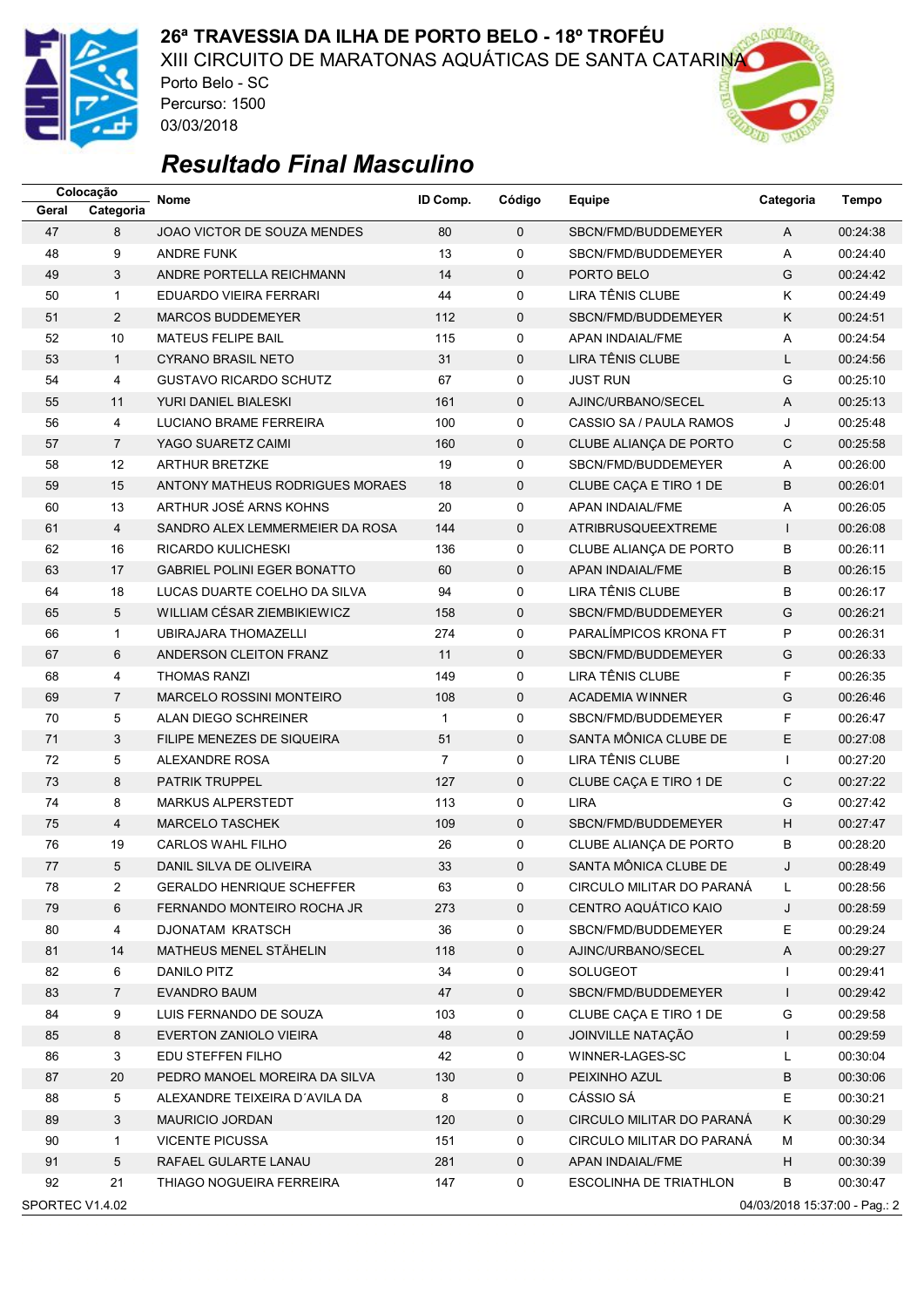

XIII CIRCUITO DE MARATONAS AQUÁTICAS DE SANTA CATARINA

Porto Belo - SC Percurso: 1500 03/03/2018



|                 | Colocação      | <b>Nome</b>                        | ID Comp. | Código      | Equipe                    | Categoria                     | <b>Tempo</b> |
|-----------------|----------------|------------------------------------|----------|-------------|---------------------------|-------------------------------|--------------|
| Geral           | Categoria      |                                    |          |             |                           |                               |              |
| 47              | 8              | JOAO VICTOR DE SOUZA MENDES        | 80       | $\mathbf 0$ | SBCN/FMD/BUDDEMEYER       | $\mathsf{A}$                  | 00:24:38     |
| 48              | 9              | <b>ANDRE FUNK</b>                  | 13       | 0           | SBCN/FMD/BUDDEMEYER       | Α                             | 00:24:40     |
| 49              | 3              | ANDRE PORTELLA REICHMANN           | 14       | $\mathbf 0$ | PORTO BELO                | G                             | 00:24:42     |
| 50              | $\mathbf{1}$   | EDUARDO VIEIRA FERRARI             | 44       | 0           | LIRA TÊNIS CLUBE          | Κ                             | 00:24:49     |
| 51              | $\overline{2}$ | <b>MARCOS BUDDEMEYER</b>           | 112      | $\mathbf 0$ | SBCN/FMD/BUDDEMEYER       | Κ                             | 00:24:51     |
| 52              | 10             | <b>MATEUS FELIPE BAIL</b>          | 115      | 0           | APAN INDAIAL/FME          | Α                             | 00:24:54     |
| 53              | $\mathbf{1}$   | <b>CYRANO BRASIL NETO</b>          | 31       | $\mathbf 0$ | LIRA TÊNIS CLUBE          | L                             | 00:24:56     |
| 54              | 4              | <b>GUSTAVO RICARDO SCHUTZ</b>      | 67       | 0           | <b>JUST RUN</b>           | G                             | 00:25:10     |
| 55              | 11             | YURI DANIEL BIALESKI               | 161      | $\mathbf 0$ | AJINC/URBANO/SECEL        | A                             | 00:25:13     |
| 56              | 4              | LUCIANO BRAME FERREIRA             | 100      | 0           | CASSIO SA / PAULA RAMOS   | J                             | 00:25:48     |
| 57              | $\overline{7}$ | YAGO SUARETZ CAIMI                 | 160      | $\mathbf 0$ | CLUBE ALIANÇA DE PORTO    | $\mathsf{C}$                  | 00:25:58     |
| 58              | 12             | <b>ARTHUR BRETZKE</b>              | 19       | 0           | SBCN/FMD/BUDDEMEYER       | Α                             | 00:26:00     |
| 59              | 15             | ANTONY MATHEUS RODRIGUES MORAES    | 18       | 0           | CLUBE CAÇA E TIRO 1 DE    | B                             | 00:26:01     |
| 60              | 13             | ARTHUR JOSÉ ARNS KOHNS             | 20       | 0           | APAN INDAIAL/FME          | Α                             | 00:26:05     |
| 61              | $\overline{4}$ | SANDRO ALEX LEMMERMEIER DA ROSA    | 144      | $\mathbf 0$ | ATRIBRUSQUEEXTREME        | $\mathsf{I}$                  | 00:26:08     |
| 62              | 16             | RICARDO KULICHESKI                 | 136      | $\mathbf 0$ | CLUBE ALIANÇA DE PORTO    | B                             | 00:26:11     |
| 63              | 17             | <b>GABRIEL POLINI EGER BONATTO</b> | 60       | $\mathbf 0$ | APAN INDAIAL/FME          | B                             | 00:26:15     |
| 64              | 18             | LUCAS DUARTE COELHO DA SILVA       | 94       | 0           | LIRA TÊNIS CLUBE          | B                             | 00:26:17     |
| 65              | 5              | WILLIAM CÉSAR ZIEMBIKIEWICZ        | 158      | $\mathbf 0$ | SBCN/FMD/BUDDEMEYER       | G                             | 00:26:21     |
| 66              | $\mathbf{1}$   | UBIRAJARA THOMAZELLI               | 274      | 0           | PARALÍMPICOS KRONA FT     | P                             | 00:26:31     |
| 67              | 6              | ANDERSON CLEITON FRANZ             | 11       | $\mathbf 0$ | SBCN/FMD/BUDDEMEYER       | G                             | 00:26:33     |
| 68              | 4              | <b>THOMAS RANZI</b>                | 149      | 0           | LIRA TÊNIS CLUBE          | F                             | 00:26:35     |
| 69              | $\overline{7}$ | <b>MARCELO ROSSINI MONTEIRO</b>    | 108      | $\mathbf 0$ | <b>ACADEMIA WINNER</b>    | G                             | 00:26:46     |
| 70              | 5              | ALAN DIEGO SCHREINER               | 1        | 0           | SBCN/FMD/BUDDEMEYER       | F                             | 00:26:47     |
| 71              | 3              | FILIPE MENEZES DE SIQUEIRA         | 51       | $\mathbf 0$ | SANTA MÔNICA CLUBE DE     | E                             | 00:27:08     |
| 72              | 5              | ALEXANDRE ROSA                     | 7        | 0           | LIRA TÊNIS CLUBE          | $\mathbf{I}$                  | 00:27:20     |
| 73              | 8              | <b>PATRIK TRUPPEL</b>              | 127      | $\mathbf 0$ | CLUBE CAÇA E TIRO 1 DE    | $\mathsf{C}$                  | 00:27:22     |
| 74              | 8              | <b>MARKUS ALPERSTEDT</b>           | 113      | 0           | <b>LIRA</b>               | G                             | 00:27:42     |
| 75              | 4              | <b>MARCELO TASCHEK</b>             | 109      | $\mathbf 0$ | SBCN/FMD/BUDDEMEYER       | H                             | 00:27:47     |
| 76              | 19             | CARLOS WAHL FILHO                  | 26       | 0           | CLUBE ALIANÇA DE PORTO    | В                             | 00:28:20     |
| 77              | 5              | DANIL SILVA DE OLIVEIRA            | 33       | $\Omega$    | SANTA MÔNICA CLUBE DE     | J                             | 00:28:49     |
| 78              | 2              | <b>GERALDO HENRIQUE SCHEFFER</b>   | 63       | 0           | CIRCULO MILITAR DO PARANÁ | L                             | 00:28:56     |
| 79              | 6              | FERNANDO MONTEIRO ROCHA JR         | 273      | 0           | CENTRO AQUÁTICO KAIO      | J                             | 00:28:59     |
| 80              | 4              | <b>DJONATAM KRATSCH</b>            | 36       | 0           | SBCN/FMD/BUDDEMEYER       | Ε                             | 00:29:24     |
| 81              | 14             | <b>MATHEUS MENEL STÄHELIN</b>      | 118      | 0           | AJINC/URBANO/SECEL        | Α                             | 00:29:27     |
| 82              | 6              | DANILO PITZ                        | 34       | 0           | SOLUGEOT                  | $\mathbf{I}$                  | 00:29:41     |
| 83              | $\overline{7}$ | <b>EVANDRO BAUM</b>                | 47       | $\mathbf 0$ | SBCN/FMD/BUDDEMEYER       | $\mathsf{I}$                  | 00:29:42     |
| 84              | 9              | LUIS FERNANDO DE SOUZA             | 103      | 0           | CLUBE CACA E TIRO 1 DE    | G                             | 00:29:58     |
| 85              | 8              | EVERTON ZANIOLO VIEIRA             | 48       | 0           | JOINVILLE NATAÇÃO         | $\mathsf{I}$                  | 00:29:59     |
| 86              | 3              | EDU STEFFEN FILHO                  | 42       | 0           | WINNER-LAGES-SC           | L                             | 00:30:04     |
| 87              | 20             | PEDRO MANOEL MOREIRA DA SILVA      | 130      | 0           | PEIXINHO AZUL             | В                             | 00:30:06     |
| 88              | 5              | ALEXANDRE TEIXEIRA D'AVILA DA      | 8        | 0           | CÁSSIO SÁ                 | E                             | 00:30:21     |
| 89              | 3              | MAURICIO JORDAN                    | 120      | 0           | CIRCULO MILITAR DO PARANÁ | Κ                             | 00:30:29     |
| 90              | $\mathbf{1}$   | <b>VICENTE PICUSSA</b>             | 151      | 0           | CIRCULO MILITAR DO PARANA | М                             | 00:30:34     |
| 91              | 5              | RAFAEL GULARTE LANAU               | 281      | 0           | APAN INDAIAL/FME          | H                             | 00:30:39     |
| 92              | 21             | THIAGO NOGUEIRA FERREIRA           | 147      | 0           | ESCOLINHA DE TRIATHLON    | В                             | 00:30:47     |
| SPORTEC V1.4.02 |                |                                    |          |             |                           | 04/03/2018 15:37:00 - Pag.: 2 |              |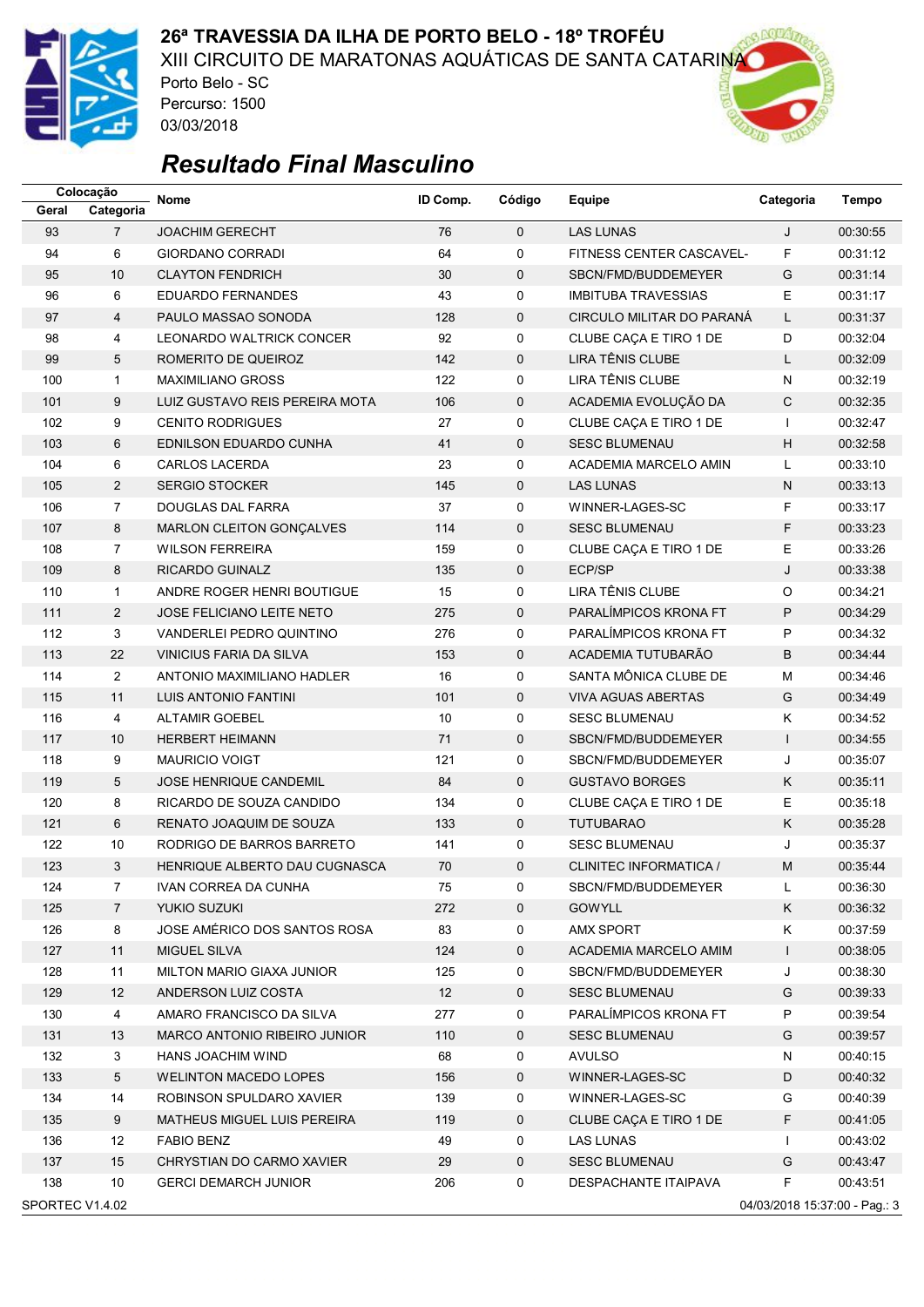

XIII CIRCUITO DE MARATONAS AQUÁTICAS DE SANTA CATARINA

Porto Belo - SC Percurso: 1500 03/03/2018



|                 | Colocação      | Nome                             | ID Comp. | Código      | Equipe                     | Categoria                     | <b>Tempo</b> |
|-----------------|----------------|----------------------------------|----------|-------------|----------------------------|-------------------------------|--------------|
| Geral           | Categoria      |                                  |          |             |                            |                               |              |
| 93              | $\overline{7}$ | <b>JOACHIM GERECHT</b>           | 76       | $\mathbf 0$ | <b>LAS LUNAS</b>           | J                             | 00:30:55     |
| 94              | 6              | GIORDANO CORRADI                 | 64       | 0           | FITNESS CENTER CASCAVEL-   | F                             | 00:31:12     |
| 95              | 10             | <b>CLAYTON FENDRICH</b>          | 30       | $\mathbf 0$ | SBCN/FMD/BUDDEMEYER        | G                             | 00:31:14     |
| 96              | 6              | EDUARDO FERNANDES                | 43       | 0           | <b>IMBITUBA TRAVESSIAS</b> | E                             | 00:31:17     |
| 97              | $\overline{4}$ | PAULO MASSAO SONODA              | 128      | $\mathbf 0$ | CIRCULO MILITAR DO PARANÁ  | L                             | 00:31:37     |
| 98              | 4              | LEONARDO WALTRICK CONCER         | 92       | 0           | CLUBE CAÇA E TIRO 1 DE     | D                             | 00:32:04     |
| 99              | 5              | ROMERITO DE QUEIROZ              | 142      | $\mathbf 0$ | LIRA TÊNIS CLUBE           | L                             | 00:32:09     |
| 100             | $\mathbf{1}$   | <b>MAXIMILIANO GROSS</b>         | 122      | 0           | LIRA TÊNIS CLUBE           | N                             | 00:32:19     |
| 101             | 9              | LUIZ GUSTAVO REIS PEREIRA MOTA   | 106      | 0           | ACADEMIA EVOLUÇÃO DA       | C                             | 00:32:35     |
| 102             | 9              | <b>CENITO RODRIGUES</b>          | 27       | 0           | CLUBE CAÇA E TIRO 1 DE     | $\mathbf{I}$                  | 00:32:47     |
| 103             | 6              | EDNILSON EDUARDO CUNHA           | 41       | $\mathbf 0$ | <b>SESC BLUMENAU</b>       | H                             | 00:32:58     |
| 104             | 6              | <b>CARLOS LACERDA</b>            | 23       | 0           | ACADEMIA MARCELO AMIN      | L                             | 00:33:10     |
| 105             | $\overline{2}$ | <b>SERGIO STOCKER</b>            | 145      | 0           | <b>LAS LUNAS</b>           | N                             | 00:33:13     |
| 106             | $\overline{7}$ | DOUGLAS DAL FARRA                | 37       | 0           | WINNER-LAGES-SC            | F                             | 00:33:17     |
| 107             | 8              | MARLON CLEITON GONÇALVES         | 114      | $\mathbf 0$ | <b>SESC BLUMENAU</b>       | F                             | 00:33:23     |
| 108             | $\overline{7}$ | <b>WILSON FERREIRA</b>           | 159      | 0           | CLUBE CAÇA E TIRO 1 DE     | E                             | 00:33:26     |
| 109             | 8              | RICARDO GUINALZ                  | 135      | 0           | ECP/SP                     | J                             | 00:33:38     |
| 110             | $\mathbf{1}$   | ANDRE ROGER HENRI BOUTIGUE       | 15       | 0           | <b>LIRA TÊNIS CLUBE</b>    | O                             | 00:34:21     |
| 111             | $\overline{2}$ | <b>JOSE FELICIANO LEITE NETO</b> | 275      | $\mathbf 0$ | PARALÍMPICOS KRONA FT      | P                             | 00:34:29     |
| 112             | 3              | VANDERLEI PEDRO QUINTINO         | 276      | 0           | PARALÍMPICOS KRONA FT      | P                             | 00:34:32     |
| 113             | 22             | VINICIUS FARIA DA SILVA          | 153      | 0           | ACADEMIA TUTUBARÃO         | B                             | 00:34:44     |
| 114             | $\overline{2}$ | ANTONIO MAXIMILIANO HADLER       | 16       | 0           | SANTA MÔNICA CLUBE DE      | M                             | 00:34:46     |
| 115             | 11             | LUIS ANTONIO FANTINI             | 101      | $\mathbf 0$ | <b>VIVA AGUAS ABERTAS</b>  | G                             | 00:34:49     |
| 116             | 4              | <b>ALTAMIR GOEBEL</b>            | 10       | 0           | <b>SESC BLUMENAU</b>       | Κ                             | 00:34:52     |
| 117             | 10             | <b>HERBERT HEIMANN</b>           | 71       | $\mathbf 0$ | SBCN/FMD/BUDDEMEYER        | $\mathbf{I}$                  | 00:34:55     |
| 118             | 9              | <b>MAURICIO VOIGT</b>            | 121      | 0           | SBCN/FMD/BUDDEMEYER        | J                             | 00:35:07     |
| 119             | 5              | JOSE HENRIQUE CANDEMIL           | 84       | $\mathbf 0$ | <b>GUSTAVO BORGES</b>      | Κ                             | 00:35:11     |
| 120             | 8              | RICARDO DE SOUZA CANDIDO         | 134      | 0           | CLUBE CAÇA E TIRO 1 DE     | Ε                             | 00:35:18     |
| 121             | 6              | RENATO JOAQUIM DE SOUZA          | 133      | $\mathbf 0$ | <b>TUTUBARAO</b>           | Κ                             | 00:35:28     |
| 122             | $10$           | RODRIGO DE BARROS BARRETO        | 141      | 0           | <b>SESC BLUMENAU</b>       | J                             | 00:35:37     |
| 123             | 3              | HENRIQUE ALBERTO DAU CUGNASCA    | 70       | $\mathbf 0$ | CLINITEC INFORMATICA /     | M                             | 00:35:44     |
| 124             | 7              | IVAN CORREA DA CUNHA             | 75       | 0           | SBCN/FMD/BUDDEMEYER        | L                             | 00:36:30     |
| 125             | $\overline{7}$ | YUKIO SUZUKI                     | 272      | 0           | <b>GOWYLL</b>              | K.                            | 00:36:32     |
| 126             | 8              | JOSE AMÉRICO DOS SANTOS ROSA     | 83       | 0           | <b>AMX SPORT</b>           | Κ                             | 00:37:59     |
| 127             | 11             | <b>MIGUEL SILVA</b>              | 124      | 0           | ACADEMIA MARCELO AMIM      | $\mathsf{I}$                  | 00:38:05     |
| 128             | 11             | MILTON MARIO GIAXA JUNIOR        | 125      | 0           | SBCN/FMD/BUDDEMEYER        | J                             | 00:38:30     |
| 129             | 12             | ANDERSON LUIZ COSTA              | 12       | 0           | <b>SESC BLUMENAU</b>       | G                             | 00:39:33     |
| 130             | $\overline{4}$ | AMARO FRANCISCO DA SILVA         | 277      | 0           | PARALÍMPICOS KRONA FT      | P                             | 00:39:54     |
| 131             | 13             | MARCO ANTONIO RIBEIRO JUNIOR     | 110      | 0           | <b>SESC BLUMENAU</b>       | G                             | 00:39:57     |
| 132             | 3              | HANS JOACHIM WIND                | 68       | 0           | <b>AVULSO</b>              | N                             | 00:40:15     |
| 133             | 5              | <b>WELINTON MACEDO LOPES</b>     | 156      | 0           | WINNER-LAGES-SC            | D                             | 00:40:32     |
| 134             | 14             | ROBINSON SPULDARO XAVIER         | 139      | 0           | WINNER-LAGES-SC            | G                             | 00:40:39     |
| 135             | 9              | MATHEUS MIGUEL LUIS PEREIRA      | 119      | 0           | CLUBE CAÇA E TIRO 1 DE     | F                             | 00:41:05     |
| 136             | 12             | <b>FABIO BENZ</b>                | 49       | 0           | LAS LUNAS                  | $\mathbf{I}$                  | 00:43:02     |
| 137             | 15             | CHRYSTIAN DO CARMO XAVIER        | 29       | $\mathbf 0$ | <b>SESC BLUMENAU</b>       | G                             | 00:43:47     |
| 138             | 10             | <b>GERCI DEMARCH JUNIOR</b>      | 206      | 0           | DESPACHANTE ITAIPAVA       | F                             | 00:43:51     |
| SPORTEC V1.4.02 |                |                                  |          |             |                            | 04/03/2018 15:37:00 - Pag.: 3 |              |